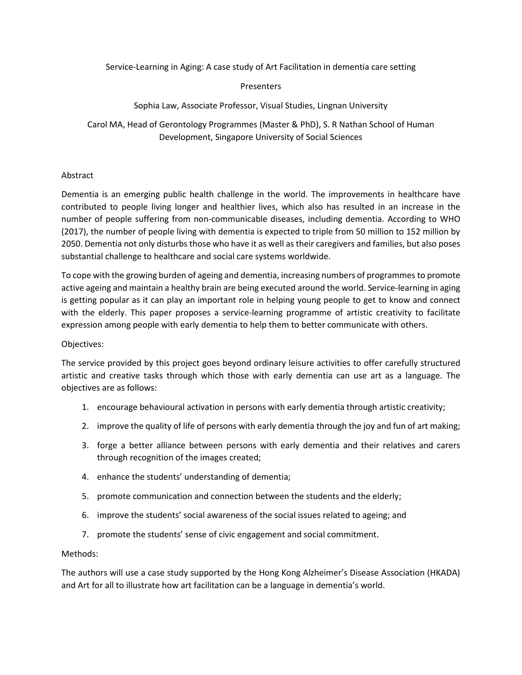Service-Learning in Aging: A case study of Art Facilitation in dementia care setting

### Presenters

## Sophia Law, Associate Professor, Visual Studies, Lingnan University

Carol MA, Head of Gerontology Programmes (Master & PhD), S. R Nathan School of Human Development, Singapore University of Social Sciences

### Abstract

Dementia is an emerging public health challenge in the world. The improvements in healthcare have contributed to people living longer and healthier lives, which also has resulted in an increase in the number of people suffering from non-communicable diseases, including dementia. According to WHO (2017), the number of people living with dementia is expected to triple from 50 million to 152 million by 2050. Dementia not only disturbs those who have it as well as their caregivers and families, but also poses substantial challenge to healthcare and social care systems worldwide.

To cope with the growing burden of ageing and dementia, increasing numbers of programmes to promote active ageing and maintain a healthy brain are being executed around the world. Service-learning in aging is getting popular as it can play an important role in helping young people to get to know and connect with the elderly. This paper proposes a service-learning programme of artistic creativity to facilitate expression among people with early dementia to help them to better communicate with others.

### Objectives:

The service provided by this project goes beyond ordinary leisure activities to offer carefully structured artistic and creative tasks through which those with early dementia can use art as a language. The objectives are as follows:

- 1. encourage behavioural activation in persons with early dementia through artistic creativity;
- 2. improve the quality of life of persons with early dementia through the joy and fun of art making;
- 3. forge a better alliance between persons with early dementia and their relatives and carers through recognition of the images created;
- 4. enhance the students' understanding of dementia;
- 5. promote communication and connection between the students and the elderly;
- 6. improve the students' social awareness of the social issues related to ageing; and
- 7. promote the students' sense of civic engagement and social commitment.

### Methods:

The authors will use a case study supported by the Hong Kong Alzheimer's Disease Association (HKADA) and Art for all to illustrate how art facilitation can be a language in dementia's world.